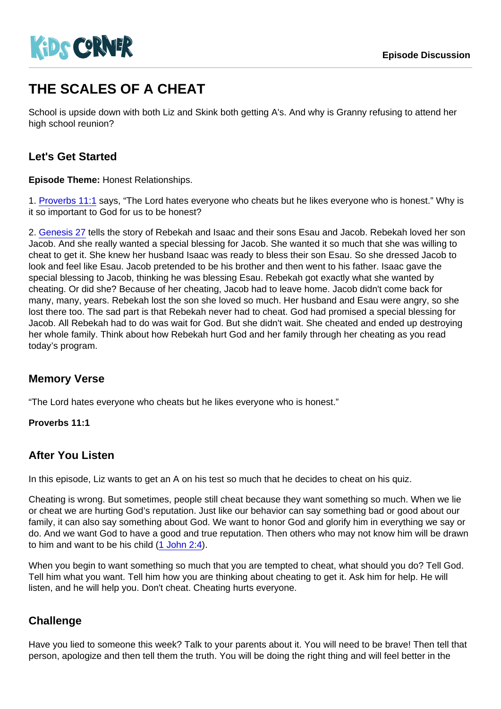# THE SCALES OF A CHEAT

School is upside down with both Liz and Skink both getting A's. And why is Granny refusing to attend her high school reunion?

## Let's Get Started

Episode Theme: Honest Relationships.

1. [Proverbs 11:1](https://www.biblegateway.com/passage/?search=Proverbs+11:1) says, "The Lord hates everyone who cheats but he likes everyone who is honest." Why is it so important to God for us to be honest?

2. [Genesis 27](https://www.biblegateway.com/passage/?search=Genesis+27) tells the story of Rebekah and Isaac and their sons Esau and Jacob. Rebekah loved her son Jacob. And she really wanted a special blessing for Jacob. She wanted it so much that she was willing to cheat to get it. She knew her husband Isaac was ready to bless their son Esau. So she dressed Jacob to look and feel like Esau. Jacob pretended to be his brother and then went to his father. Isaac gave the special blessing to Jacob, thinking he was blessing Esau. Rebekah got exactly what she wanted by cheating. Or did she? Because of her cheating, Jacob had to leave home. Jacob didn't come back for many, many, years. Rebekah lost the son she loved so much. Her husband and Esau were angry, so she lost there too. The sad part is that Rebekah never had to cheat. God had promised a special blessing for Jacob. All Rebekah had to do was wait for God. But she didn't wait. She cheated and ended up destroying her whole family. Think about how Rebekah hurt God and her family through her cheating as you read today's program.

## Memory Verse

"The Lord hates everyone who cheats but he likes everyone who is honest."

Proverbs 11:1

#### After You Listen

In this episode, Liz wants to get an A on his test so much that he decides to cheat on his quiz.

Cheating is wrong. But sometimes, people still cheat because they want something so much. When we lie or cheat we are hurting God's reputation. Just like our behavior can say something bad or good about our family, it can also say something about God. We want to honor God and glorify him in everything we say or do. And we want God to have a good and true reputation. Then others who may not know him will be drawn to him and want to be his child ([1 John 2:4](https://www.biblegateway.com/passage/?search=1+John+2:4)).

When you begin to want something so much that you are tempted to cheat, what should you do? Tell God. Tell him what you want. Tell him how you are thinking about cheating to get it. Ask him for help. He will listen, and he will help you. Don't cheat. Cheating hurts everyone.

#### **Challenge**

Have you lied to someone this week? Talk to your parents about it. You will need to be brave! Then tell that person, apologize and then tell them the truth. You will be doing the right thing and will feel better in the